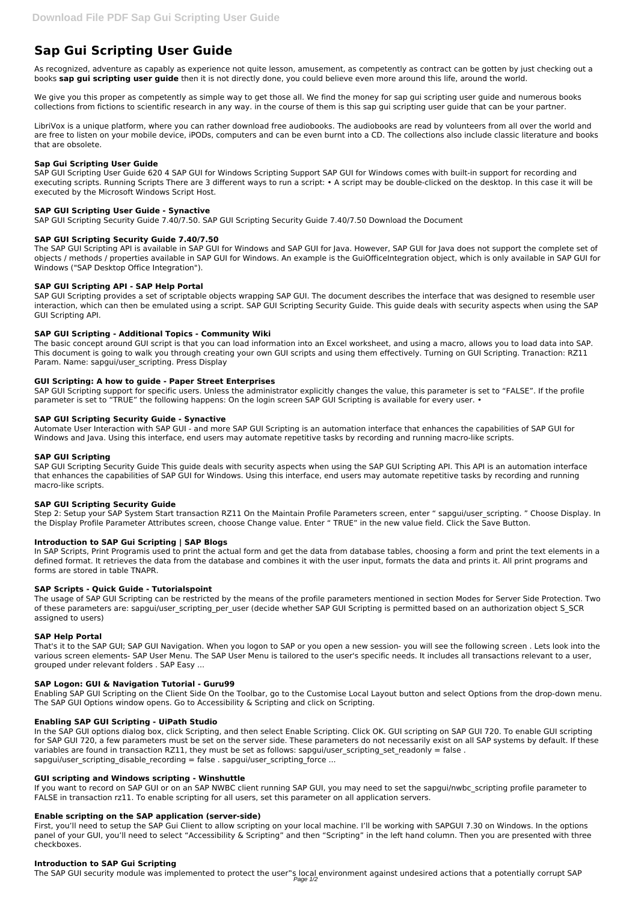# **Sap Gui Scripting User Guide**

As recognized, adventure as capably as experience not quite lesson, amusement, as competently as contract can be gotten by just checking out a books **sap gui scripting user guide** then it is not directly done, you could believe even more around this life, around the world.

We give you this proper as competently as simple way to get those all. We find the money for sap gui scripting user guide and numerous books collections from fictions to scientific research in any way. in the course of them is this sap gui scripting user guide that can be your partner.

LibriVox is a unique platform, where you can rather download free audiobooks. The audiobooks are read by volunteers from all over the world and are free to listen on your mobile device, iPODs, computers and can be even burnt into a CD. The collections also include classic literature and books that are obsolete.

The SAP GUI Scripting API is available in SAP GUI for Windows and SAP GUI for Java. However, SAP GUI for Java does not support the complete set of objects / methods / properties available in SAP GUI for Windows. An example is the GuiOfficeIntegration object, which is only available in SAP GUI for Windows ("SAP Desktop Office Integration").

## **Sap Gui Scripting User Guide**

SAP GUI Scripting User Guide 620 4 SAP GUI for Windows Scripting Support SAP GUI for Windows comes with built-in support for recording and executing scripts. Running Scripts There are 3 different ways to run a script: • A script may be double-clicked on the desktop. In this case it will be executed by the Microsoft Windows Script Host.

SAP GUI Scripting support for specific users. Unless the administrator explicitly changes the value, this parameter is set to "FALSE". If the profile parameter is set to "TRUE" the following happens: On the login screen SAP GUI Scripting is available for every user. •

# **SAP GUI Scripting User Guide - Synactive**

SAP GUI Scripting Security Guide 7.40/7.50. SAP GUI Scripting Security Guide 7.40/7.50 Download the Document

Automate User Interaction with SAP GUI - and more SAP GUI Scripting is an automation interface that enhances the capabilities of SAP GUI for Windows and Java. Using this interface, end users may automate repetitive tasks by recording and running macro-like scripts.

# **SAP GUI Scripting Security Guide 7.40/7.50**

# **SAP GUI Scripting API - SAP Help Portal**

Step 2: Setup your SAP System Start transaction RZ11 On the Maintain Profile Parameters screen, enter " sapgui/user scripting. " Choose Display. In the Display Profile Parameter Attributes screen, choose Change value. Enter " TRUE" in the new value field. Click the Save Button.

SAP GUI Scripting provides a set of scriptable objects wrapping SAP GUI. The document describes the interface that was designed to resemble user interaction, which can then be emulated using a script. SAP GUI Scripting Security Guide. This guide deals with security aspects when using the SAP GUI Scripting API.

# **SAP GUI Scripting - Additional Topics - Community Wiki**

The basic concept around GUI script is that you can load information into an Excel worksheet, and using a macro, allows you to load data into SAP. This document is going to walk you through creating your own GUI scripts and using them effectively. Turning on GUI Scripting. Tranaction: RZ11 Param. Name: sapgui/user\_scripting. Press Display

## **GUI Scripting: A how to guide - Paper Street Enterprises**

In the SAP GUI options dialog box, click Scripting, and then select Enable Scripting. Click OK. GUI scripting on SAP GUI 720. To enable GUI scripting for SAP GUI 720, a few parameters must be set on the server side. These parameters do not necessarily exist on all SAP systems by default. If these variables are found in transaction RZ11, they must be set as follows: sapgui/user\_scripting\_set\_readonly = false . sapgui/user scripting disable recording  $=$  false . sapgui/user scripting force ...

## **SAP GUI Scripting Security Guide - Synactive**

If you want to record on SAP GUI or on an SAP NWBC client running SAP GUI, you may need to set the sapgui/nwbc scripting profile parameter to FALSE in transaction rz11. To enable scripting for all users, set this parameter on all application servers.

The SAP GUI security module was implemented to protect the user"s local environment against undesired actions that a potentially corrupt SAP Page  $1/2$ 

## **SAP GUI Scripting**

SAP GUI Scripting Security Guide This guide deals with security aspects when using the SAP GUI Scripting API. This API is an automation interface that enhances the capabilities of SAP GUI for Windows. Using this interface, end users may automate repetitive tasks by recording and running macro-like scripts.

## **SAP GUI Scripting Security Guide**

## **Introduction to SAP Gui Scripting | SAP Blogs**

In SAP Scripts, Print Programis used to print the actual form and get the data from database tables, choosing a form and print the text elements in a defined format. It retrieves the data from the database and combines it with the user input, formats the data and prints it. All print programs and forms are stored in table TNAPR.

## **SAP Scripts - Quick Guide - Tutorialspoint**

The usage of SAP GUI Scripting can be restricted by the means of the profile parameters mentioned in section Modes for Server Side Protection. Two of these parameters are: sapgui/user scripting per user (decide whether SAP GUI Scripting is permitted based on an authorization object S SCR assigned to users)

## **SAP Help Portal**

That's it to the SAP GUI; SAP GUI Navigation. When you logon to SAP or you open a new session- you will see the following screen . Lets look into the various screen elements- SAP User Menu. The SAP User Menu is tailored to the user's specific needs. It includes all transactions relevant to a user, grouped under relevant folders . SAP Easy ...

#### **SAP Logon: GUI & Navigation Tutorial - Guru99**

Enabling SAP GUI Scripting on the Client Side On the Toolbar, go to the Customise Local Layout button and select Options from the drop-down menu. The SAP GUI Options window opens. Go to Accessibility & Scripting and click on Scripting.

#### **Enabling SAP GUI Scripting - UiPath Studio**

#### **GUI scripting and Windows scripting - Winshuttle**

#### **Enable scripting on the SAP application (server-side)**

First, you'll need to setup the SAP Gui Client to allow scripting on your local machine. I'll be working with SAPGUI 7.30 on Windows. In the options panel of your GUI, you'll need to select "Accessibility & Scripting" and then "Scripting" in the left hand column. Then you are presented with three checkboxes.

#### **Introduction to SAP Gui Scripting**